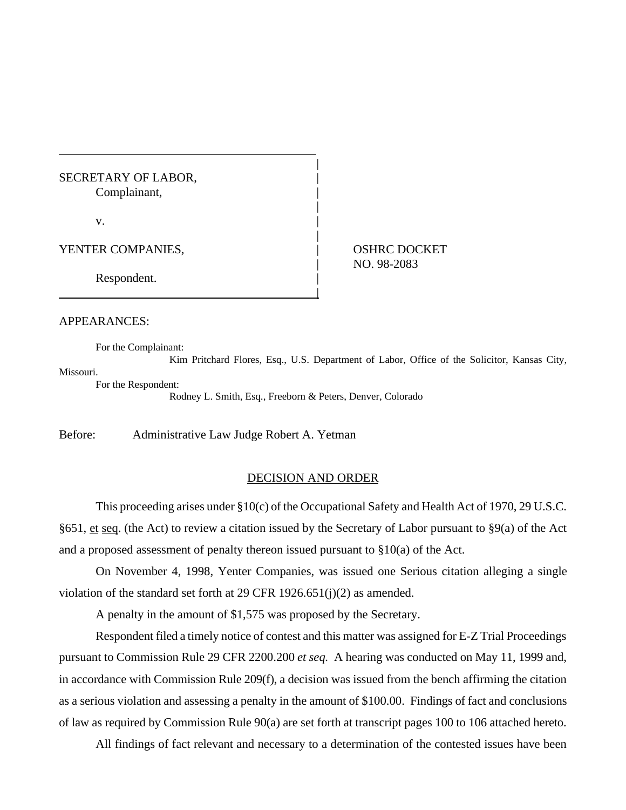## SECRETARY OF LABOR, Complainant, |

 $\mathbf{v}$ .

YENTER COMPANIES,  $\qquad \qquad |$  OSHRC DOCKET

| NO. 98-2083

Respondent.

#### APPEARANCES:

For the Complainant:

Kim Pritchard Flores, Esq., U.S. Department of Labor, Office of the Solicitor, Kansas City, Missouri. For the Respondent:

|

|

|

|

Rodney L. Smith, Esq., Freeborn & Peters, Denver, Colorado

Before: Administrative Law Judge Robert A. Yetman

### DECISION AND ORDER

This proceeding arises under §10(c) of the Occupational Safety and Health Act of 1970, 29 U.S.C. §651, et seq. (the Act) to review a citation issued by the Secretary of Labor pursuant to §9(a) of the Act and a proposed assessment of penalty thereon issued pursuant to §10(a) of the Act.

On November 4, 1998, Yenter Companies, was issued one Serious citation alleging a single violation of the standard set forth at 29 CFR 1926.651(j)(2) as amended.

A penalty in the amount of \$1,575 was proposed by the Secretary.

Respondent filed a timely notice of contest and this matter was assigned for E-Z Trial Proceedings pursuant to Commission Rule 29 CFR 2200.200 *et seq.* A hearing was conducted on May 11, 1999 and, in accordance with Commission Rule 209(f), a decision was issued from the bench affirming the citation as a serious violation and assessing a penalty in the amount of \$100.00. Findings of fact and conclusions of law as required by Commission Rule 90(a) are set forth at transcript pages 100 to 106 attached hereto.

All findings of fact relevant and necessary to a determination of the contested issues have been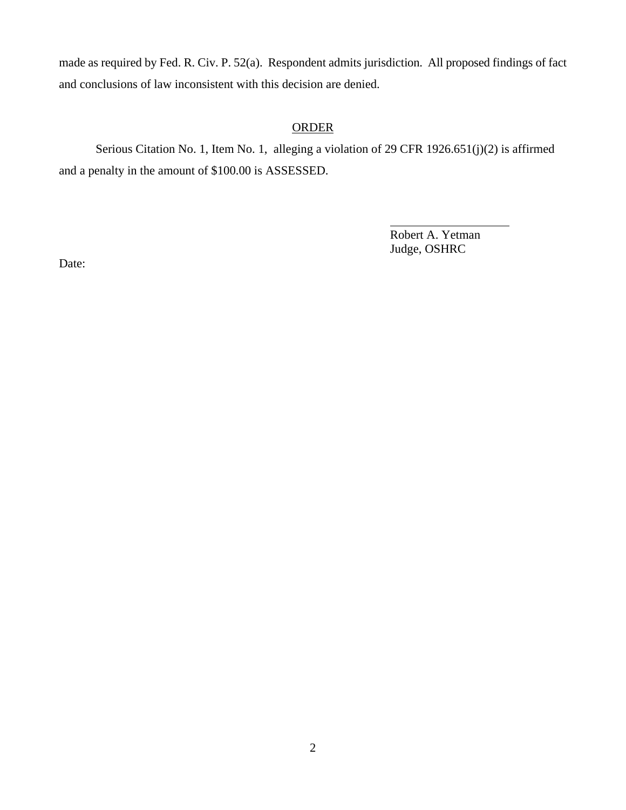made as required by Fed. R. Civ. P. 52(a). Respondent admits jurisdiction. All proposed findings of fact and conclusions of law inconsistent with this decision are denied.

# **ORDER**

Serious Citation No. 1, Item No. 1, alleging a violation of 29 CFR 1926.651(j)(2) is affirmed and a penalty in the amount of \$100.00 is ASSESSED.

> Robert A. Yetman Judge, OSHRC

 $\overline{a}$ 

Date: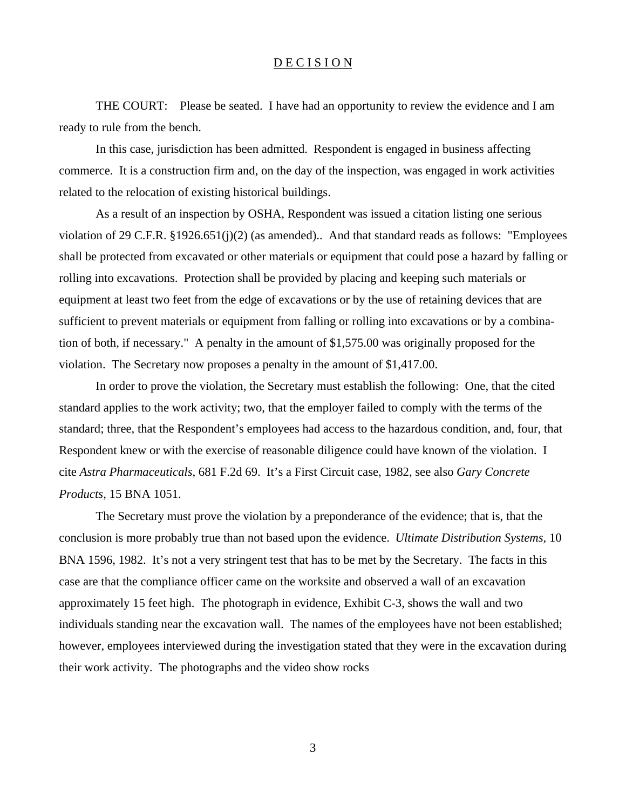### D E C I S I O N

THE COURT: Please be seated. I have had an opportunity to review the evidence and I am ready to rule from the bench.

In this case, jurisdiction has been admitted. Respondent is engaged in business affecting commerce. It is a construction firm and, on the day of the inspection, was engaged in work activities related to the relocation of existing historical buildings.

As a result of an inspection by OSHA, Respondent was issued a citation listing one serious violation of 29 C.F.R. §1926.651(j)(2) (as amended).. And that standard reads as follows: "Employees shall be protected from excavated or other materials or equipment that could pose a hazard by falling or rolling into excavations. Protection shall be provided by placing and keeping such materials or equipment at least two feet from the edge of excavations or by the use of retaining devices that are sufficient to prevent materials or equipment from falling or rolling into excavations or by a combination of both, if necessary." A penalty in the amount of \$1,575.00 was originally proposed for the violation. The Secretary now proposes a penalty in the amount of \$1,417.00.

In order to prove the violation, the Secretary must establish the following: One, that the cited standard applies to the work activity; two, that the employer failed to comply with the terms of the standard; three, that the Respondent's employees had access to the hazardous condition, and, four, that Respondent knew or with the exercise of reasonable diligence could have known of the violation. I cite *Astra Pharmaceuticals*, 681 F.2d 69. It's a First Circuit case, 1982, see also *Gary Concrete Products*, 15 BNA 1051.

The Secretary must prove the violation by a preponderance of the evidence; that is, that the conclusion is more probably true than not based upon the evidence. *Ultimate Distribution Systems,* 10 BNA 1596, 1982. It's not a very stringent test that has to be met by the Secretary. The facts in this case are that the compliance officer came on the worksite and observed a wall of an excavation approximately 15 feet high. The photograph in evidence, Exhibit C-3, shows the wall and two individuals standing near the excavation wall. The names of the employees have not been established; however, employees interviewed during the investigation stated that they were in the excavation during their work activity. The photographs and the video show rocks

3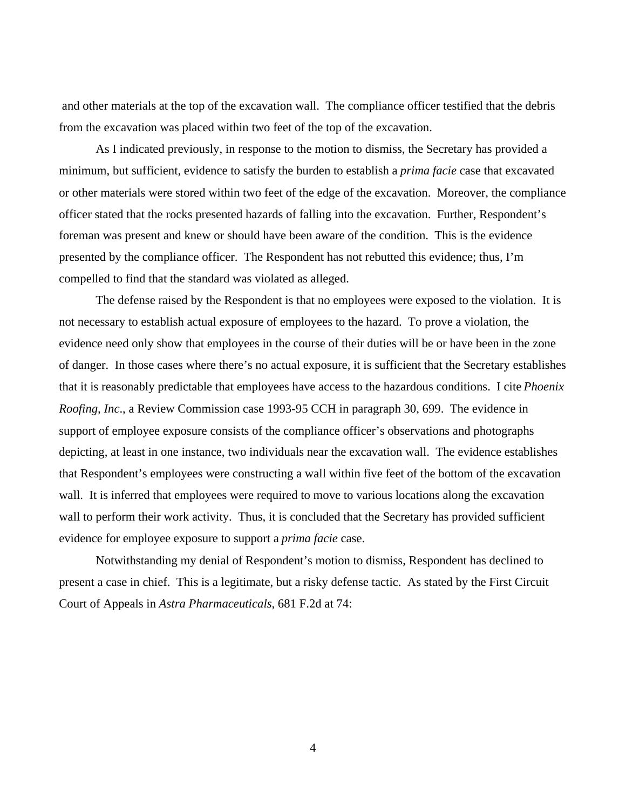and other materials at the top of the excavation wall. The compliance officer testified that the debris from the excavation was placed within two feet of the top of the excavation.

As I indicated previously, in response to the motion to dismiss, the Secretary has provided a minimum, but sufficient, evidence to satisfy the burden to establish a *prima facie* case that excavated or other materials were stored within two feet of the edge of the excavation. Moreover, the compliance officer stated that the rocks presented hazards of falling into the excavation. Further, Respondent's foreman was present and knew or should have been aware of the condition. This is the evidence presented by the compliance officer. The Respondent has not rebutted this evidence; thus, I'm compelled to find that the standard was violated as alleged.

The defense raised by the Respondent is that no employees were exposed to the violation. It is not necessary to establish actual exposure of employees to the hazard. To prove a violation, the evidence need only show that employees in the course of their duties will be or have been in the zone of danger. In those cases where there's no actual exposure, it is sufficient that the Secretary establishes that it is reasonably predictable that employees have access to the hazardous conditions. I cite *Phoenix Roofing, Inc*., a Review Commission case 1993-95 CCH in paragraph 30, 699. The evidence in support of employee exposure consists of the compliance officer's observations and photographs depicting, at least in one instance, two individuals near the excavation wall. The evidence establishes that Respondent's employees were constructing a wall within five feet of the bottom of the excavation wall. It is inferred that employees were required to move to various locations along the excavation wall to perform their work activity. Thus, it is concluded that the Secretary has provided sufficient evidence for employee exposure to support a *prima facie* case.

Notwithstanding my denial of Respondent's motion to dismiss, Respondent has declined to present a case in chief. This is a legitimate, but a risky defense tactic. As stated by the First Circuit Court of Appeals in *Astra Pharmaceuticals*, 681 F.2d at 74:

4